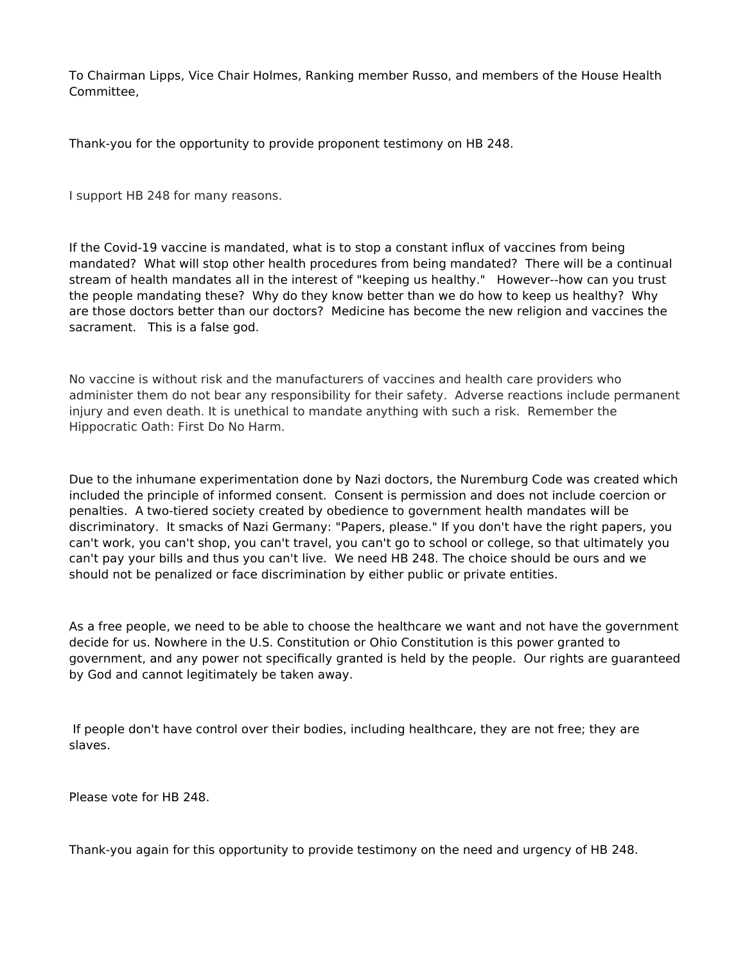To Chairman Lipps, Vice Chair Holmes, Ranking member Russo, and members of the House Health Committee,

Thank-you for the opportunity to provide proponent testimony on HB 248.

I support HB 248 for many reasons.

If the Covid-19 vaccine is mandated, what is to stop a constant influx of vaccines from being mandated? What will stop other health procedures from being mandated? There will be a continual stream of health mandates all in the interest of "keeping us healthy." However--how can you trust the people mandating these? Why do they know better than we do how to keep us healthy? Why are those doctors better than our doctors? Medicine has become the new religion and vaccines the sacrament. This is a false god.

No vaccine is without risk and the manufacturers of vaccines and health care providers who administer them do not bear any responsibility for their safety. Adverse reactions include permanent injury and even death. It is unethical to mandate anything with such a risk. Remember the Hippocratic Oath: First Do No Harm.

Due to the inhumane experimentation done by Nazi doctors, the Nuremburg Code was created which included the principle of informed consent. Consent is permission and does not include coercion or penalties. A two-tiered society created by obedience to government health mandates will be discriminatory. It smacks of Nazi Germany: "Papers, please." If you don't have the right papers, you can't work, you can't shop, you can't travel, you can't go to school or college, so that ultimately you can't pay your bills and thus you can't live. We need HB 248. The choice should be ours and we should not be penalized or face discrimination by either public or private entities.

As a free people, we need to be able to choose the healthcare we want and not have the government decide for us. Nowhere in the U.S. Constitution or Ohio Constitution is this power granted to government, and any power not specifically granted is held by the people. Our rights are guaranteed by God and cannot legitimately be taken away.

If people don't have control over their bodies, including healthcare, they are not free; they are slaves.

Please vote for HB 248.

Thank-you again for this opportunity to provide testimony on the need and urgency of HB 248.